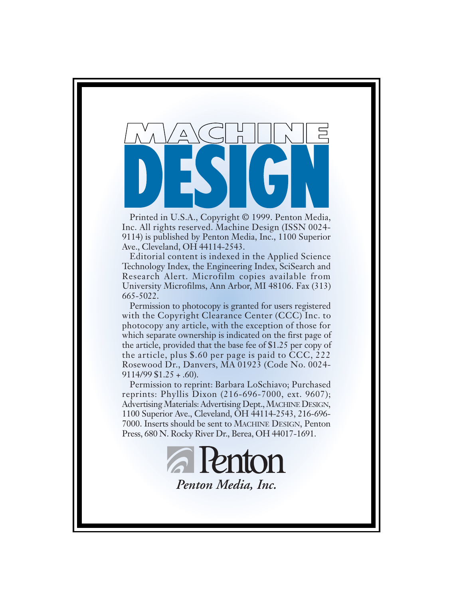

Printed in U.S.A., Copyright © 1999. Penton Media, Inc. All rights reserved. Machine Design (ISSN 0024- 9114) is published by Penton Media, Inc., 1100 Superior Ave., Cleveland, OH 44114-2543.

Editorial content is indexed in the Applied Science Technology Index, the Engineering Index, SciSearch and Research Alert. Microfilm copies available from University Microfilms, Ann Arbor, MI 48106. Fax (313) 665-5022.

Permission to photocopy is granted for users registered with the Copyright Clearance Center (CCC) Inc. to photocopy any article, with the exception of those for which separate ownership is indicated on the first page of the article, provided that the base fee of \$1.25 per copy of the article, plus \$.60 per page is paid to CCC, 222 Rosewood Dr., Danvers, MA 01923 (Code No. 0024-  $9114/99 $1.25 + .60$ ).

Permission to reprint: Barbara LoSchiavo; Purchased reprints: Phyllis Dixon (216-696-7000, ext. 9607); Advertising Materials: Advertising Dept., MACHINE DESIGN, 1100 Superior Ave., Cleveland, OH 44114-2543, 216-696- 7000. Inserts should be sent to MACHINE DESIGN, Penton Press, 680 N. Rocky River Dr., Berea, OH 44017-1691.

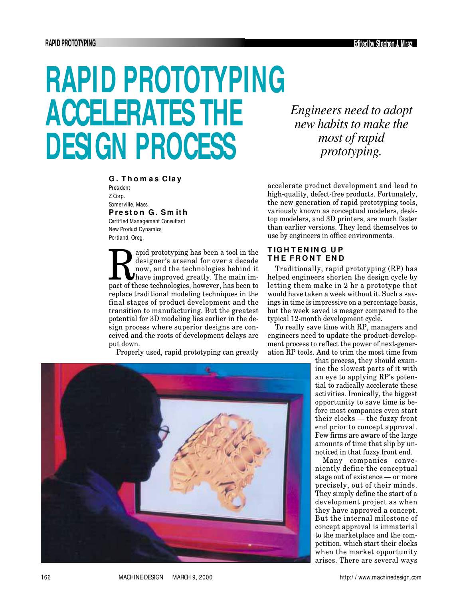# **RAPID PROTOTYPING ACCELERATES THE DESIGN PROCESS**

**G . T h o m a s C la y**

President Z Corp. Somerville, Mass. **P re st o n G . S m it h** Certified Management Consultant

New Product Dynamics Portland, Oreg.

apid prototyping has been a tool in the<br>designer's arsenal for over a decade<br>now, and the technologies behind it<br>have improved greatly. The main im-<br>pact of these technologies, however, has been to apid prototyping has been a tool in the designer's arsenal for over a decade now, and the technologies behind it have improved greatly. The main imreplace traditional modeling techniques in the final stages of product development and the transition to manufacturing. But the greatest potential for 3D modeling lies earlier in the design process where superior designs are conceived and the roots of development delays are put down.

Properly used, rapid prototyping can greatly

*Engineers need to adopt new habits to make the most of rapid prototyping.*

accelerate product development and lead to high-quality, defect-free products. Fortunately, the new generation of rapid prototyping tools, variously known as conceptual modelers, desktop modelers, and 3D printers, are much faster than earlier versions. They lend themselves to use by engineers in office environments.

### **T IG H T E N IN G U P THE FRONT END**

Traditionally, rapid prototyping (RP) has helped engineers shorten the design cycle by letting them make in 2 hr a prototype that would have taken a week without it. Such a savings in time is impressive on a percentage basis, but the week saved is meager compared to the typical 12-month development cycle.

To really save time with RP, managers and engineers need to update the product-development process to reflect the power of next-generation RP tools. And to trim the most time from

> that process, they should examine the slowest parts of it with an eye to applying RP's potential to radically accelerate these activities. Ironically, the biggest opportunity to save time is before most companies even start their clocks — the fuzzy front end prior to concept approval. Few firms are aware of the large amounts of time that slip by unnoticed in that fuzzy front end.

> Many companies conveniently define the conceptual stage out of existence — or more precisely, out of their minds. They simply define the start of a development project as when they have approved a concept. But the internal milestone of concept approval is immaterial to the marketplace and the competition, which start their clocks when the market opportunity arises. There are several ways



166 MACHINE DESIGN MARCH 9, 2000 http:/ / www.machinedesign.com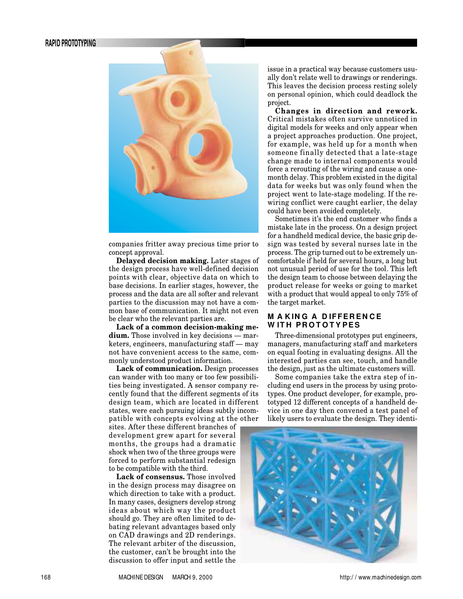#### **RAPID PROTOTYPING**



companies fritter away precious time prior to concept approval.

**Delayed decision making.** Later stages of the design process have well-defined decision points with clear, objective data on which to base decisions. In earlier stages, however, the process and the data are all softer and relevant parties to the discussion may not have a common base of communication. It might not even be clear who the relevant parties are.

**Lack of a common decision-making medium.** Those involved in key decisions — marketers, engineers, manufacturing staff — may not have convenient access to the same, commonly understood product information.

**Lack of communication.** Design processes can wander with too many or too few possibilities being investigated. A sensor company recently found that the different segments of its design team, which are located in different states, were each pursuing ideas subtly incompatible with concepts evolving at the other

sites. After these different branches of development grew apart for several months, the groups had a dramatic shock when two of the three groups were forced to perform substantial redesign to be compatible with the third.

**Lack of consensus.** Those involved in the design process may disagree on which direction to take with a product. In many cases, designers develop strong ideas about which way the product should go. They are often limited to debating relevant advantages based only on CAD drawings and 2D renderings. The relevant arbiter of the discussion, the customer, can't be brought into the discussion to offer input and settle the

issue in a practical way because customers usually don't relate well to drawings or renderings. This leaves the decision process resting solely on personal opinion, which could deadlock the project.

**Changes in direction and rework.** Critical mistakes often survive unnoticed in digital models for weeks and only appear when a project approaches production. One project, for example, was held up for a month when someone finally detected that a late-stage change made to internal components would force a rerouting of the wiring and cause a onemonth delay. This problem existed in the digital data for weeks but was only found when the project went to late-stage modeling. If the rewiring conflict were caught earlier, the delay could have been avoided completely.

Sometimes it's the end customer who finds a mistake late in the process. On a design project for a handheld medical device, the basic grip design was tested by several nurses late in the process. The grip turned out to be extremely uncomfortable if held for several hours, a long but not unusual period of use for the tool. This left the design team to choose between delaying the product release for weeks or going to market with a product that would appeal to only 75% of the target market.

#### **MAKING A DIFFERENCE** WITH PROTOTYPES

Three-dimensional prototypes put engineers, managers, manufacturing staff and marketers on equal footing in evaluating designs. All the interested parties can see, touch, and handle the design, just as the ultimate customers will.

Some companies take the extra step of including end users in the process by using prototypes. One product developer, for example, prototyped 12 different concepts of a handheld device in one day then convened a test panel of likely users to evaluate the design. They identi-

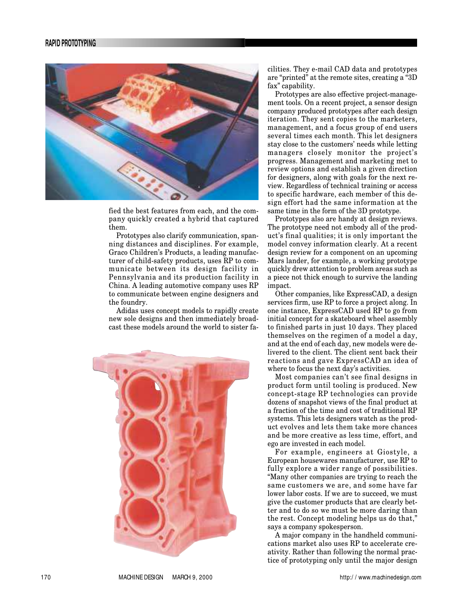

fied the best features from each, and the company quickly created a hybrid that captured them.

Prototypes also clarify communication, spanning distances and disciplines. For example, Graco Children's Products, a leading manufacturer of child-safety products, uses RP to communicate between its design facility in Pennsylvania and its production facility in China. A leading automotive company uses RP to communicate between engine designers and the foundry.

Adidas uses concept models to rapidly create new sole designs and then immediately broadcast these models around the world to sister fa-



cilities. They e-mail CAD data and prototypes are "printed" at the remote sites, creating a "3D fax" capability.

Prototypes are also effective project-management tools. On a recent project, a sensor design company produced prototypes after each design iteration. They sent copies to the marketers, management, and a focus group of end users several times each month. This let designers stay close to the customers' needs while letting managers closely monitor the project's progress. Management and marketing met to review options and establish a given direction for designers, along with goals for the next review. Regardless of technical training or access to specific hardware, each member of this design effort had the same information at the same time in the form of the 3D prototype.

Prototypes also are handy at design reviews. The prototype need not embody all of the product's final qualities; it is only important the model convey information clearly. At a recent design review for a component on an upcoming Mars lander, for example, a working prototype quickly drew attention to problem areas such as a piece not thick enough to survive the landing impact.

Other companies, like ExpressCAD, a design services firm, use RP to force a project along. In one instance, ExpressCAD used RP to go from initial concept for a skateboard wheel assembly to finished parts in just 10 days. They placed themselves on the regimen of a model a day, and at the end of each day, new models were delivered to the client. The client sent back their reactions and gave ExpressCAD an idea of where to focus the next day's activities.

Most companies can't see final designs in product form until tooling is produced. New concept-stage RP technologies can provide dozens of snapshot views of the final product at a fraction of the time and cost of traditional RP systems. This lets designers watch as the product evolves and lets them take more chances and be more creative as less time, effort, and ego are invested in each model.

For example, engineers at Giostyle, a European housewares manufacturer, use RP to fully explore a wider range of possibilities. "Many other companies are trying to reach the same customers we are, and some have far lower labor costs. If we are to succeed, we must give the customer products that are clearly better and to do so we must be more daring than the rest. Concept modeling helps us do that," says a company spokesperson.

A major company in the handheld communications market also uses RP to accelerate creativity. Rather than following the normal practice of prototyping only until the major design